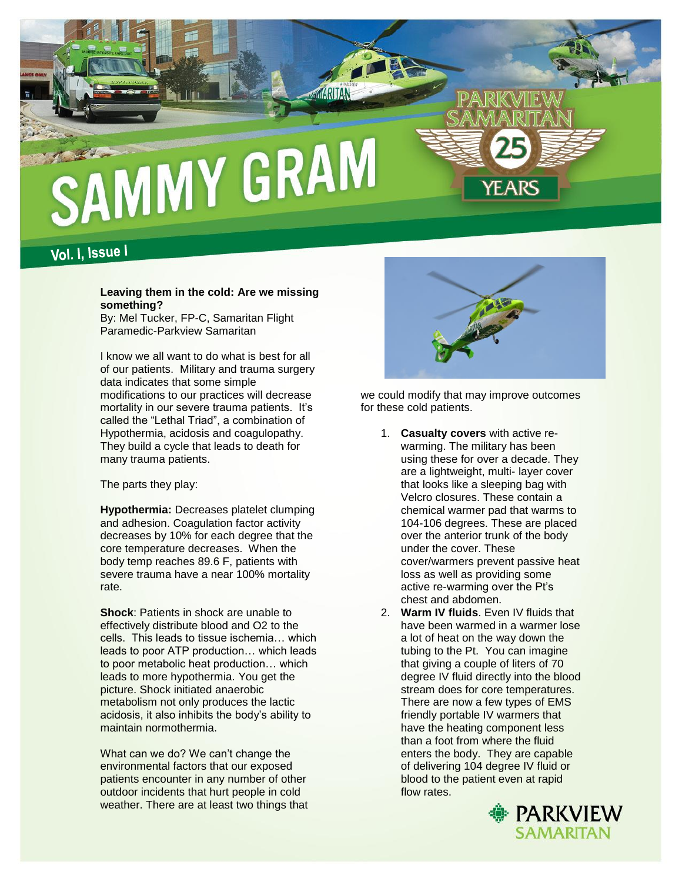

Vol. I, Issue I

## **Leaving them in the cold: Are we missing something?**

By: Mel Tucker, FP-C, Samaritan Flight Paramedic-Parkview Samaritan

I know we all want to do what is best for all of our patients. Military and trauma surgery data indicates that some simple modifications to our practices will decrease mortality in our severe trauma patients. It's called the "Lethal Triad", a combination of Hypothermia, acidosis and coagulopathy. They build a cycle that leads to death for many trauma patients.

The parts they play:

**Hypothermia:** Decreases platelet clumping and adhesion. Coagulation factor activity decreases by 10% for each degree that the core temperature decreases. When the body temp reaches 89.6 F, patients with severe trauma have a near 100% mortality rate.

**Shock**: Patients in shock are unable to effectively distribute blood and O2 to the cells. This leads to tissue ischemia… which leads to poor ATP production… which leads to poor metabolic heat production… which leads to more hypothermia. You get the picture. Shock initiated anaerobic metabolism not only produces the lactic acidosis, it also inhibits the body's ability to maintain normothermia.

What can we do? We can't change the environmental factors that our exposed patients encounter in any number of other outdoor incidents that hurt people in cold weather. There are at least two things that



we could modify that may improve outcomes for these cold patients.

- 1. **Casualty covers** with active rewarming. The military has been using these for over a decade. They are a lightweight, multi- layer cover that looks like a sleeping bag with Velcro closures. These contain a chemical warmer pad that warms to 104-106 degrees. These are placed over the anterior trunk of the body under the cover. These cover/warmers prevent passive heat loss as well as providing some active re-warming over the Pt's chest and abdomen.
- 2. **Warm IV fluids**. Even IV fluids that have been warmed in a warmer lose a lot of heat on the way down the tubing to the Pt. You can imagine that giving a couple of liters of 70 degree IV fluid directly into the blood stream does for core temperatures. There are now a few types of EMS friendly portable IV warmers that have the heating component less than a foot from where the fluid enters the body. They are capable of delivering 104 degree IV fluid or blood to the patient even at rapid flow rates.